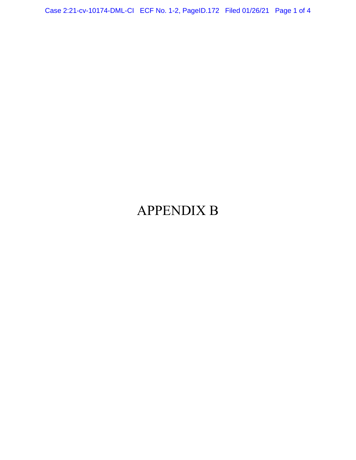Case 2:21-cv-10174-DML-CI ECF No. 1-2, PageID.172 Filed 01/26/21 Page 1 of 4

## APPENDIX B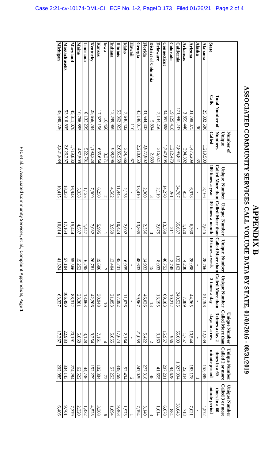|                      |                        | Number of         |                      |                                                                  |                 |                                                                  | <b>Unique Number</b>                    | <b>Unique Number</b>              | <b>Unique Number</b>                     |
|----------------------|------------------------|-------------------|----------------------|------------------------------------------------------------------|-----------------|------------------------------------------------------------------|-----------------------------------------|-----------------------------------|------------------------------------------|
|                      | <b>Total Number of</b> | Numbers<br>Unique | <b>Unique Number</b> | <b>Called More than Called More than</b><br><b>Unique Number</b> |                 | Called More than Called More than<br>Unique Number Unique Number | Called More than<br>$3$ times a day $2$ | Called 2 or more<br>times in a 60 | <b>Called 3 or more</b><br>times in a 60 |
| State                | Calls                  | Called            | 100 times a year     | 30 times a month                                                 | 10 times a week | 3 times a day                                                    | days in a row                           | minute period                     | minute period                            |
| Alabama              | 25,332,580             | 1,219,500         | 8,166                | 7,645                                                            | 28,766          | 51,198                                                           | 12,339                                  | 153,389                           | 4,572                                    |
| Alaska               | $\infty$               | $\frac{32}{5}$    |                      |                                                                  |                 |                                                                  |                                         |                                   |                                          |
| Arizona              | 31,799,375             | 1,475,209         | 6,978                | 6,360                                                            | 28,098          | 44,365                                                           | 10,544                                  | 183,178                           | 7,021                                    |
| Arkansas             | 3,859,440              | 294,392           | 953                  | 1,120                                                            | 4,230           | 7,389                                                            | 1,757                                   | 22,314                            | 118                                      |
| <b>California</b>    | 171,990,237            | 7,895,841         | 34,787               | 35,637                                                           | 132,163         | 249,525                                                          | 55,003                                  | 1,027,904                         | 38,043                                   |
| <b>Colorado</b>      | 19,125,418             | 1,212,473         | 261                  | 211                                                              | 2,745           | 10,212                                                           | 956                                     | 94,628                            | 884                                      |
| Connecticut          | 34,051,668             | 1,247,005         | 14,270               | 13,360                                                           | 46,753          | 69,183                                                           | 15,957                                  | 207,201                           | 6,678                                    |
| Delaware             | 7,144,256              | 316,021           | 2,119                | $2.075$                                                          | 8,033           | 13,195                                                           | 3,160                                   | 41,655                            | 1,014                                    |
| District of Columbia | 5,834                  | 2,683             | $\mathbf{\omega}$    |                                                                  | $\overline{5}$  | $\tilde{\omega}$                                                 | $\overline{a}$                          | 48                                |                                          |
| Florida              | 31,544,403             | 2,977,902         | 2,300                | 2,356                                                            | 14,933          | 46,026                                                           | 5,422                                   | 277,318                           | 3,140                                    |
| Georgia              | 43,146,017             | 2,218,053         | 13,410               | 13,865                                                           | 48,633          | 79,967                                                           | 21,058                                  | 247,029                           | 7,194                                    |
| Hawaii               | $\overline{110}$       | $\overline{67}$   |                      |                                                                  |                 |                                                                  |                                         | $\overline{C}$                    |                                          |
| Idaho                | 7,640,402              | 329,566           | 2,138                | 2,002                                                            | 6,935           | 11,076                                                           | 2,164                                   | 52,494                            | 1,973                                    |
| Illimiois            | 53,362,022             | 2,685,958         | 11,945               | 10,424                                                           | 45,731          | 97,392                                                           | 17,674                                  | 339,769                           | 9,463                                    |
| Indiana              | 12,299,969             | 938,296           | 4,582                | 3,959                                                            | 13,404          | 21,853                                                           | 5,655                                   | 57,253                            | 1,894                                    |
| Lowa                 | 10,460                 | 3,371             | $\mathcal{L}$        |                                                                  | $\overline{L}$  | $\overline{0}$                                                   | $\overline{4}$                          | 72                                |                                          |
| Kansas               | 17,327,156             | 635,654           | 6,250                | 5,995                                                            | 19,606          | 30,948                                                           | 7,161                                   | 102,384                           | 3,308                                    |
| Kentucky             | 25,656,784             | 1,190,328         | 7,309                | 7,032                                                            | 26,781          | 42,206                                                           | 9,254                                   | 152,279                           | 4,523                                    |
| Louisiana            | 6,133,299              | 522,78            | 1,125                | 1,447                                                            | 6,795           | 13,863                                                           | 3,128                                   | 44,736                            | 1,432                                    |
| Maine                | 10,766,885             | 487,509           | 5,038                | 4,587                                                            | 15,252          | 23,381                                                           | 5,868                                   | 62,522                            | 2,320                                    |
| Maryland             | 45,311,078             | 1,719,830         | 16,943               | 15,444                                                           | 55,566          | 88,312                                                           | 20,191                                  | 274,284                           | 7,379                                    |
| Massachusetts        | 53,910,835             | 2,026,237         | 18,038               | 17.164                                                           | 57,104          | 106,490                                                          | 22,983                                  | 334,143                           | 9,701                                    |
| Michigan             | 35,490,726             | 2,221,589         | 10,415               | 10,814                                                           | 41,324          | 63,327                                                           | 17,367                                  | 202,985                           | 6,406                                    |

 $\overline{ }$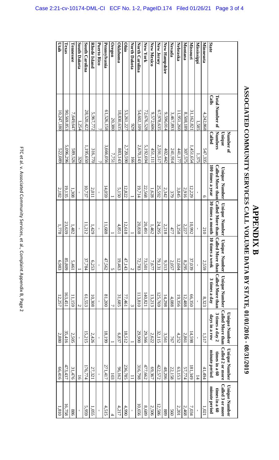|                                  |                                 | Number of                |                  |                      |                                                                                        |                      | <b>Unique Number</b>                 | <b>Unique Number</b>    | <b>Unique Number</b>   |
|----------------------------------|---------------------------------|--------------------------|------------------|----------------------|----------------------------------------------------------------------------------------|----------------------|--------------------------------------|-------------------------|------------------------|
|                                  |                                 | <b>Unique</b>            | Unique Number    | <b>Unique Number</b> | <b>Unique Number</b>                                                                   | <b>Unique Number</b> | <b>Called More than</b>              | Called 2 or more        | Called 3 or more       |
|                                  | <b>Total Number of</b><br>Calls | Numbers<br><b>Called</b> | 100 times a year | 30 times a month     | Called More than Called More than Called More than Called More than<br>10 times a week | 3 times a day        | $3$ times a day $2$<br>days in a row | times in a 60           | times in a 60          |
| <b>State</b><br><b>Minnesota</b> | 4,242,868                       | 547,335                  | C                | 210                  | 2,559                                                                                  | 8,323                | 1,517                                | minute period<br>41,494 | minute period<br>1,021 |
| Mississippi                      | 1,585                           | 1,375                    |                  |                      |                                                                                        |                      |                                      | $\overline{14}$         |                        |
| <b>Missouri</b>                  | 31,162,821                      | 1,451,654                | 12,229           | 10,992               | 37,039                                                                                 | 66,350               | 14,598                               | 81,349                  | 7,034                  |
| Montana                          | 8,508,189                       | 307,575                  | 2,916            | 2,227                | 8,295                                                                                  | 12,488               | 2,861                                | 57,774                  | 2,468                  |
| <b>Nebraska</b>                  | 1,951,260                       | 441,177                  | 3,845            | 3,258                | 12,604                                                                                 | 19,356               | 4,252                                | 63,153                  | 2,201                  |
| Nevada                           | 3,467,893                       | 241,914                  | 379              | 477                  | 2,057                                                                                  | 4,088                | 767                                  | 22,158                  | 560                    |
| New Hampshire                    | 9,596,014                       | 402,442                  | 2,342            | 2,218                | 9,313                                                                                  | 14,298               | 3,561                                | 48,206                  | 688                    |
| New Jersey                       | 67,978,635                      | 2,591,517                | 25,592           | 24,295               | 79,131                                                                                 | 125,769              | 32,115                               | 422,572                 | 12,586                 |
| <b>New Mexico</b>                | 9,572,606                       | 451,111                  | 1,628            | 1,462                | 7,677                                                                                  | 13,213               | 2,622                                | 69,367                  | 2,506                  |
| New York                         | 72,676,528                      | 5,192,694                | 22,568           | 20,491               | 73,501                                                                                 | 140,821              | 29,366                               | 477,662                 | 8,689                  |
| North Carolina                   | 54,602,109                      | 2,670,143                | 19,714           | 20,838               | 72,783                                                                                 | 113,810              | 29,900                               | 316,798                 | 10,656                 |
| <b>North Dakota</b>              | 929                             | 166                      |                  |                      | N                                                                                      | س                    |                                      |                         |                        |
| Ohio                             | 53,261,227                      | 2,720,590                | 12,822           | 12,618               | 47,143                                                                                 | 77,461               | 18,512                               | 236,785                 | 4,990                  |
| <b>Oklahoma</b>                  | 18,830,635                      | 883,143                  | 5,150            | 4,851                | 19,463                                                                                 | 31,685               | 6,837                                | 96,162                  | 4,217                  |
| Oregon                           | 20,380                          | 7,75                     |                  |                      | Üη                                                                                     |                      |                                      | 103                     |                        |
| Pennsylvania                     | 61,526,158                      | 3,666,056                | 14,059           | 11,688               | 47,562                                                                                 | 007'18               | 18,199                               | 271,417                 | 4,515                  |
| Puerto Rico                      |                                 |                          |                  |                      |                                                                                        |                      |                                      |                         |                        |
| <b>Rhode Island</b>              | 5,967,772                       | 316,770                  | 2,011            | 1,429                | 6,253                                                                                  | 10,308               | 2,426                                | 27,321                  | 1,055                  |
| South Carolina                   | 28,520,422                      | 1,195,650                | 10,737           | 11,212               | 37,784                                                                                 | 61,553               | 15,215                               | 176,774                 | 5,959                  |
| South Dakota                     | 1,254                           | 329                      |                  |                      |                                                                                        | $\overline{a}$       |                                      | $\overline{5}$          |                        |
| Tennessee                        | 7,649,647                       | 589,526                  | 1,308            | 1,482                | 5,461                                                                                  | 11,159               | 2,505                                | 31,476                  | 988                    |
| Texas                            | 90,569,853                      | 5,096,296                | 19,135           | 23,639               | 85,809                                                                                 | 163,451              | 35,416                               | 473,437                 | 16,758                 |
|                                  |                                 |                          |                  |                      |                                                                                        |                      |                                      |                         |                        |

ASSOCIATED COMMUNITY SERVICES CALL VOLUME DATA BY STATE, 01/01/2016 - 08/31/2019 **ASSOCIATED COMMUNITY SERVICES CALL VOLUME DATA BY STATE, 01/01/2016 - 08/31/2019 APPENDIX B APPENDIX B** 

90,569,853  $10,247,180$ 

5,096,296 522,089

 $2,182$ 

**Utah** 

163,451 12,257

 $35,416$  $2,880$ 

473,437 66,416

16,758 1,810

23,639 1,778

10,747,180 522,089 2,089 522,182 1,810 523,00 523,00 523,00 523,00 523,00 52,00 52,00 52,00 57,100 57,100 57,10<br>10,747,1810 52,00 52,00 56,416 56,510 56,510 57,1278 56,510 52,00 52,00 52,00 55,510 57,100 57,100 57,100 57,

6,983

 $\overline{c}$